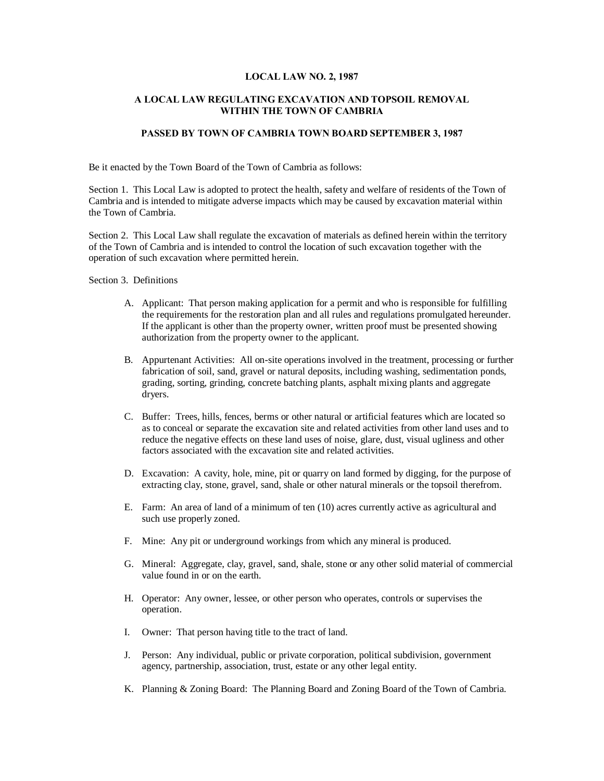#### **LOCAL LAW NO. 2, 1987**

## **A LOCAL LAW REGULATING EXCAVATION AND TOPSOIL REMOVAL WITHIN THE TOWN OF CAMBRIA**

# **PASSED BY TOWN OF CAMBRIA TOWN BOARD SEPTEMBER 3, 1987**

Be it enacted by the Town Board of the Town of Cambria as follows:

Section 1. This Local Law is adopted to protect the health, safety and welfare of residents of the Town of Cambria and is intended to mitigate adverse impacts which may be caused by excavation material within the Town of Cambria.

Section 2. This Local Law shall regulate the excavation of materials as defined herein within the territory of the Town of Cambria and is intended to control the location of such excavation together with the operation of such excavation where permitted herein.

Section 3. Definitions

- A. Applicant: That person making application for a permit and who is responsible for fulfilling the requirements for the restoration plan and all rules and regulations promulgated hereunder. If the applicant is other than the property owner, written proof must be presented showing authorization from the property owner to the applicant.
- B. Appurtenant Activities: All on-site operations involved in the treatment, processing or further fabrication of soil, sand, gravel or natural deposits, including washing, sedimentation ponds, grading, sorting, grinding, concrete batching plants, asphalt mixing plants and aggregate dryers.
- C. Buffer: Trees, hills, fences, berms or other natural or artificial features which are located so as to conceal or separate the excavation site and related activities from other land uses and to reduce the negative effects on these land uses of noise, glare, dust, visual ugliness and other factors associated with the excavation site and related activities.
- D. Excavation: A cavity, hole, mine, pit or quarry on land formed by digging, for the purpose of extracting clay, stone, gravel, sand, shale or other natural minerals or the topsoil therefrom.
- E. Farm: An area of land of a minimum of ten (10) acres currently active as agricultural and such use properly zoned.
- F. Mine: Any pit or underground workings from which any mineral is produced.
- G. Mineral: Aggregate, clay, gravel, sand, shale, stone or any other solid material of commercial value found in or on the earth.
- H. Operator: Any owner, lessee, or other person who operates, controls or supervises the operation.
- I. Owner: That person having title to the tract of land.
- J. Person: Any individual, public or private corporation, political subdivision, government agency, partnership, association, trust, estate or any other legal entity.
- K. Planning & Zoning Board: The Planning Board and Zoning Board of the Town of Cambria.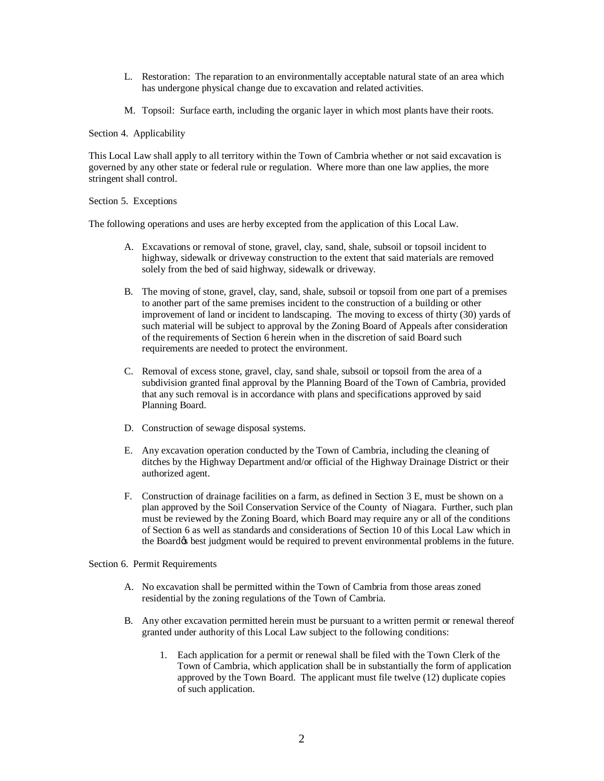- L. Restoration: The reparation to an environmentally acceptable natural state of an area which has undergone physical change due to excavation and related activities.
- M. Topsoil: Surface earth, including the organic layer in which most plants have their roots.

#### Section 4. Applicability

This Local Law shall apply to all territory within the Town of Cambria whether or not said excavation is governed by any other state or federal rule or regulation. Where more than one law applies, the more stringent shall control.

## Section 5. Exceptions

The following operations and uses are herby excepted from the application of this Local Law.

- A. Excavations or removal of stone, gravel, clay, sand, shale, subsoil or topsoil incident to highway, sidewalk or driveway construction to the extent that said materials are removed solely from the bed of said highway, sidewalk or driveway.
- B. The moving of stone, gravel, clay, sand, shale, subsoil or topsoil from one part of a premises to another part of the same premises incident to the construction of a building or other improvement of land or incident to landscaping. The moving to excess of thirty (30) yards of such material will be subject to approval by the Zoning Board of Appeals after consideration of the requirements of Section 6 herein when in the discretion of said Board such requirements are needed to protect the environment.
- C. Removal of excess stone, gravel, clay, sand shale, subsoil or topsoil from the area of a subdivision granted final approval by the Planning Board of the Town of Cambria, provided that any such removal is in accordance with plans and specifications approved by said Planning Board.
- D. Construction of sewage disposal systems.
- E. Any excavation operation conducted by the Town of Cambria, including the cleaning of ditches by the Highway Department and/or official of the Highway Drainage District or their authorized agent.
- F. Construction of drainage facilities on a farm, as defined in Section 3 E, must be shown on a plan approved by the Soil Conservation Service of the County of Niagara. Further, such plan must be reviewed by the Zoning Board, which Board may require any or all of the conditions of Section 6 as well as standards and considerations of Section 10 of this Local Law which in the Board to best judgment would be required to prevent environmental problems in the future.

#### Section 6. Permit Requirements

- A. No excavation shall be permitted within the Town of Cambria from those areas zoned residential by the zoning regulations of the Town of Cambria.
- B. Any other excavation permitted herein must be pursuant to a written permit or renewal thereof granted under authority of this Local Law subject to the following conditions:
	- 1. Each application for a permit or renewal shall be filed with the Town Clerk of the Town of Cambria, which application shall be in substantially the form of application approved by the Town Board. The applicant must file twelve (12) duplicate copies of such application.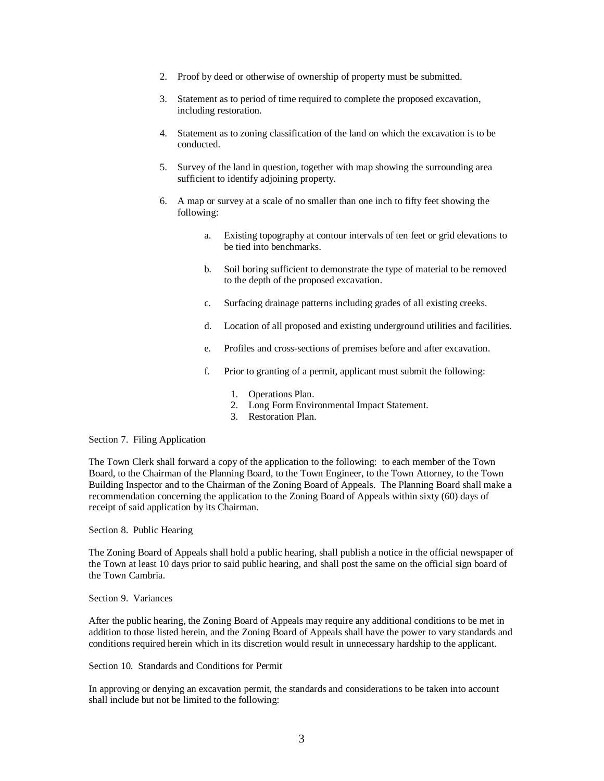- 2. Proof by deed or otherwise of ownership of property must be submitted.
- 3. Statement as to period of time required to complete the proposed excavation, including restoration.
- 4. Statement as to zoning classification of the land on which the excavation is to be conducted.
- 5. Survey of the land in question, together with map showing the surrounding area sufficient to identify adjoining property.
- 6. A map or survey at a scale of no smaller than one inch to fifty feet showing the following:
	- a. Existing topography at contour intervals of ten feet or grid elevations to be tied into benchmarks.
	- b. Soil boring sufficient to demonstrate the type of material to be removed to the depth of the proposed excavation.
	- c. Surfacing drainage patterns including grades of all existing creeks.
	- d. Location of all proposed and existing underground utilities and facilities.
	- e. Profiles and cross-sections of premises before and after excavation.
	- f. Prior to granting of a permit, applicant must submit the following:
		- 1. Operations Plan.
		- 2. Long Form Environmental Impact Statement.
		- 3. Restoration Plan.

#### Section 7. Filing Application

The Town Clerk shall forward a copy of the application to the following: to each member of the Town Board, to the Chairman of the Planning Board, to the Town Engineer, to the Town Attorney, to the Town Building Inspector and to the Chairman of the Zoning Board of Appeals. The Planning Board shall make a recommendation concerning the application to the Zoning Board of Appeals within sixty (60) days of receipt of said application by its Chairman.

Section 8. Public Hearing

The Zoning Board of Appeals shall hold a public hearing, shall publish a notice in the official newspaper of the Town at least 10 days prior to said public hearing, and shall post the same on the official sign board of the Town Cambria.

Section 9. Variances

After the public hearing, the Zoning Board of Appeals may require any additional conditions to be met in addition to those listed herein, and the Zoning Board of Appeals shall have the power to vary standards and conditions required herein which in its discretion would result in unnecessary hardship to the applicant.

Section 10. Standards and Conditions for Permit

In approving or denying an excavation permit, the standards and considerations to be taken into account shall include but not be limited to the following: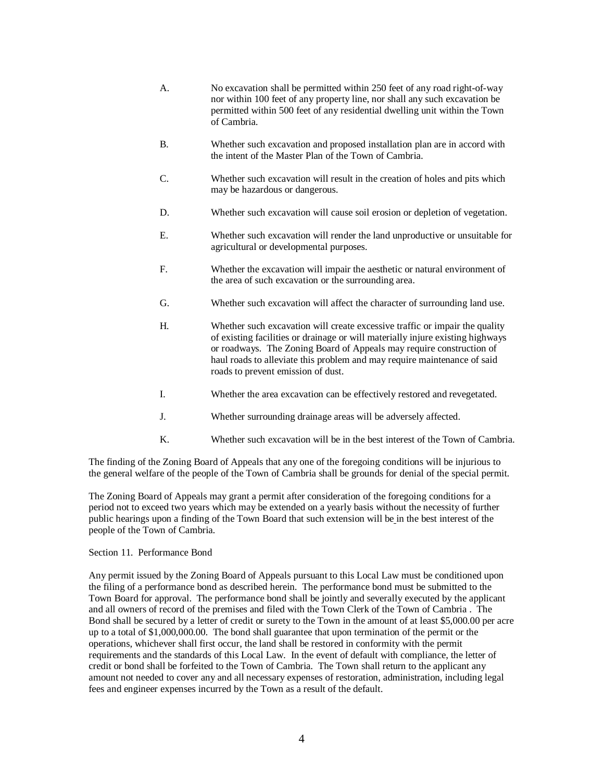- A. No excavation shall be permitted within 250 feet of any road right-of-way nor within 100 feet of any property line, nor shall any such excavation be permitted within 500 feet of any residential dwelling unit within the Town of Cambria.
- B. Whether such excavation and proposed installation plan are in accord with the intent of the Master Plan of the Town of Cambria.
- C. Whether such excavation will result in the creation of holes and pits which may be hazardous or dangerous.
- D. Whether such excavation will cause soil erosion or depletion of vegetation.
- E. Whether such excavation will render the land unproductive or unsuitable for agricultural or developmental purposes.
- F. Whether the excavation will impair the aesthetic or natural environment of the area of such excavation or the surrounding area.
- G. Whether such excavation will affect the character of surrounding land use.
- H. Whether such excavation will create excessive traffic or impair the quality of existing facilities or drainage or will materially injure existing highways or roadways. The Zoning Board of Appeals may require construction of haul roads to alleviate this problem and may require maintenance of said roads to prevent emission of dust.
- I. Whether the area excavation can be effectively restored and revegetated.
- J. Whether surrounding drainage areas will be adversely affected.
- K. Whether such excavation will be in the best interest of the Town of Cambria.

The finding of the Zoning Board of Appeals that any one of the foregoing conditions will be injurious to the general welfare of the people of the Town of Cambria shall be grounds for denial of the special permit.

The Zoning Board of Appeals may grant a permit after consideration of the foregoing conditions for a period not to exceed two years which may be extended on a yearly basis without the necessity of further public hearings upon a finding of the Town Board that such extension will be in the best interest of the people of the Town of Cambria.

## Section 11. Performance Bond

Any permit issued by the Zoning Board of Appeals pursuant to this Local Law must be conditioned upon the filing of a performance bond as described herein. The performance bond must be submitted to the Town Board for approval. The performance bond shall be jointly and severally executed by the applicant and all owners of record of the premises and filed with the Town Clerk of the Town of Cambria . The Bond shall be secured by a letter of credit or surety to the Town in the amount of at least \$5,000.00 per acre up to a total of \$1,000,000.00. The bond shall guarantee that upon termination of the permit or the operations, whichever shall first occur, the land shall be restored in conformity with the permit requirements and the standards of this Local Law. In the event of default with compliance, the letter of credit or bond shall be forfeited to the Town of Cambria. The Town shall return to the applicant any amount not needed to cover any and all necessary expenses of restoration, administration, including legal fees and engineer expenses incurred by the Town as a result of the default.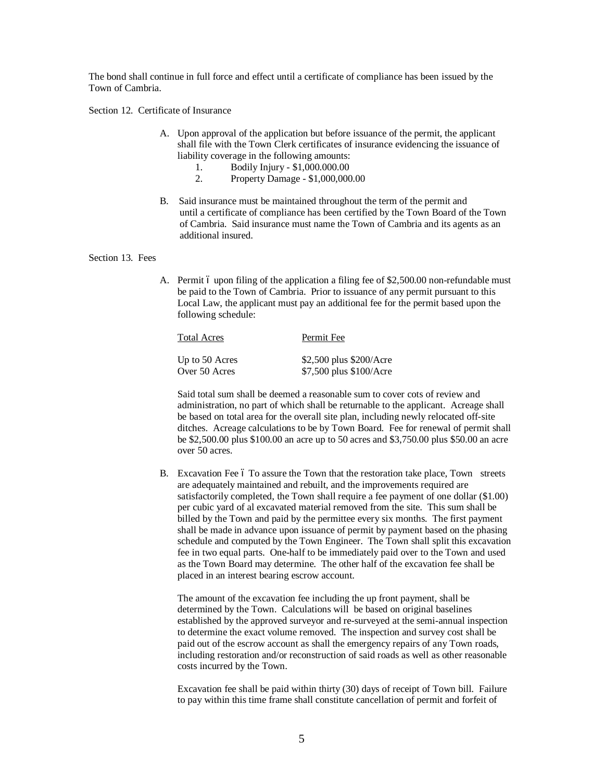The bond shall continue in full force and effect until a certificate of compliance has been issued by the Town of Cambria.

Section 12. Certificate of Insurance

- A. Upon approval of the application but before issuance of the permit, the applicant shall file with the Town Clerk certificates of insurance evidencing the issuance of liability coverage in the following amounts:
	- 1. Bodily Injury \$1,000.000.00<br>2. Property Damage \$1,000.000
	- 2. Property Damage \$1,000,000.00
- B. Said insurance must be maintained throughout the term of the permit and until a certificate of compliance has been certified by the Town Board of the Town of Cambria. Said insurance must name the Town of Cambria and its agents as an additional insured.

#### Section 13. Fees

A. Permit 6 upon filing of the application a filing fee of  $$2,500.00$  non-refundable must be paid to the Town of Cambria. Prior to issuance of any permit pursuant to this Local Law, the applicant must pay an additional fee for the permit based upon the following schedule:

| Total Acres    | Permit Fee              |
|----------------|-------------------------|
| Up to 50 Acres | \$2,500 plus \$200/Acre |
| Over 50 Acres  | \$7,500 plus \$100/Acre |

Said total sum shall be deemed a reasonable sum to cover cots of review and administration, no part of which shall be returnable to the applicant. Acreage shall be based on total area for the overall site plan, including newly relocated off-site ditches. Acreage calculations to be by Town Board. Fee for renewal of permit shall be \$2,500.00 plus \$100.00 an acre up to 50 acres and \$3,750.00 plus \$50.00 an acre over 50 acres.

B. Excavation Fee 6 To assure the Town that the restoration take place, Town streets are adequately maintained and rebuilt, and the improvements required are satisfactorily completed, the Town shall require a fee payment of one dollar (\$1.00) per cubic yard of al excavated material removed from the site. This sum shall be billed by the Town and paid by the permittee every six months. The first payment shall be made in advance upon issuance of permit by payment based on the phasing schedule and computed by the Town Engineer. The Town shall split this excavation fee in two equal parts. One-half to be immediately paid over to the Town and used as the Town Board may determine. The other half of the excavation fee shall be placed in an interest bearing escrow account.

The amount of the excavation fee including the up front payment, shall be determined by the Town. Calculations will be based on original baselines established by the approved surveyor and re-surveyed at the semi-annual inspection to determine the exact volume removed. The inspection and survey cost shall be paid out of the escrow account as shall the emergency repairs of any Town roads, including restoration and/or reconstruction of said roads as well as other reasonable costs incurred by the Town.

Excavation fee shall be paid within thirty (30) days of receipt of Town bill. Failure to pay within this time frame shall constitute cancellation of permit and forfeit of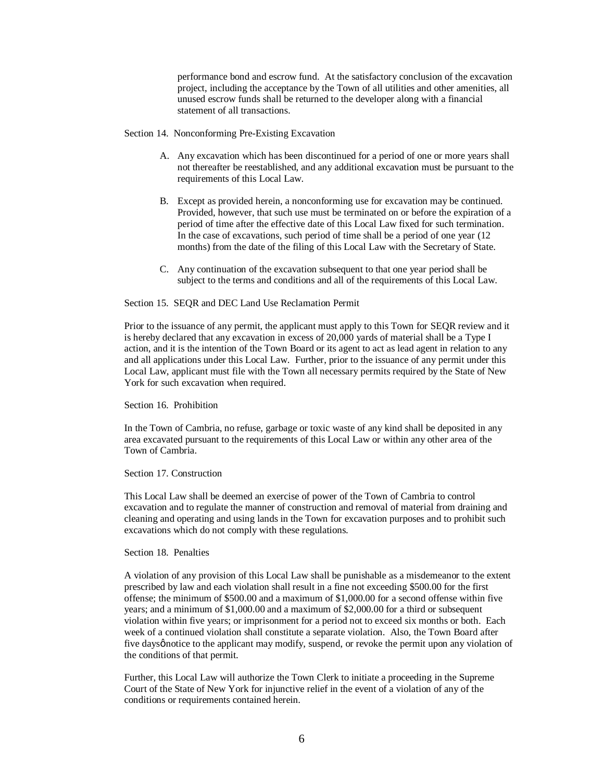performance bond and escrow fund. At the satisfactory conclusion of the excavation project, including the acceptance by the Town of all utilities and other amenities, all unused escrow funds shall be returned to the developer along with a financial statement of all transactions.

Section 14. Nonconforming Pre-Existing Excavation

- A. Any excavation which has been discontinued for a period of one or more years shall not thereafter be reestablished, and any additional excavation must be pursuant to the requirements of this Local Law.
- B. Except as provided herein, a nonconforming use for excavation may be continued. Provided, however, that such use must be terminated on or before the expiration of a period of time after the effective date of this Local Law fixed for such termination. In the case of excavations, such period of time shall be a period of one year (12 months) from the date of the filing of this Local Law with the Secretary of State.
- C. Any continuation of the excavation subsequent to that one year period shall be subject to the terms and conditions and all of the requirements of this Local Law.

### Section 15. SEQR and DEC Land Use Reclamation Permit

Prior to the issuance of any permit, the applicant must apply to this Town for SEQR review and it is hereby declared that any excavation in excess of 20,000 yards of material shall be a Type I action, and it is the intention of the Town Board or its agent to act as lead agent in relation to any and all applications under this Local Law. Further, prior to the issuance of any permit under this Local Law, applicant must file with the Town all necessary permits required by the State of New York for such excavation when required.

Section 16. Prohibition

In the Town of Cambria, no refuse, garbage or toxic waste of any kind shall be deposited in any area excavated pursuant to the requirements of this Local Law or within any other area of the Town of Cambria.

Section 17. Construction

This Local Law shall be deemed an exercise of power of the Town of Cambria to control excavation and to regulate the manner of construction and removal of material from draining and cleaning and operating and using lands in the Town for excavation purposes and to prohibit such excavations which do not comply with these regulations.

#### Section 18. Penalties

A violation of any provision of this Local Law shall be punishable as a misdemeanor to the extent prescribed by law and each violation shall result in a fine not exceeding \$500.00 for the first offense; the minimum of \$500.00 and a maximum of \$1,000.00 for a second offense within five years; and a minimum of \$1,000.00 and a maximum of \$2,000.00 for a third or subsequent violation within five years; or imprisonment for a period not to exceed six months or both. Each week of a continued violation shall constitute a separate violation. Also, the Town Board after five daysønotice to the applicant may modify, suspend, or revoke the permit upon any violation of the conditions of that permit.

Further, this Local Law will authorize the Town Clerk to initiate a proceeding in the Supreme Court of the State of New York for injunctive relief in the event of a violation of any of the conditions or requirements contained herein.